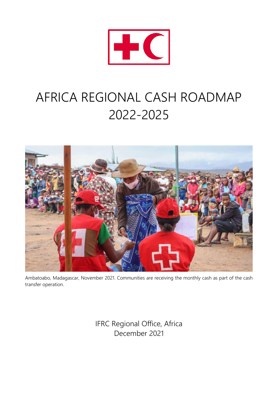

# AFRICA REGIONAL CASH ROADMAP 2022-2025



Ambatoabo, Madagascar, November 2021. Communities are receiving the monthly cash as part of the cash transfer operation.

> IFRC Regional Office, Africa December 2021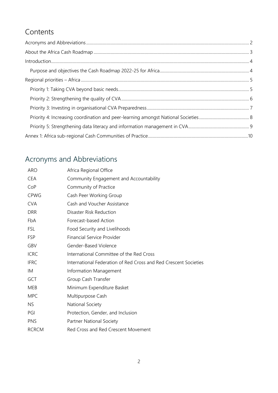# Contents

# Acronyms and Abbreviations

| <b>ARO</b>   | Africa Regional Office                                           |
|--------------|------------------------------------------------------------------|
| <b>CEA</b>   | Community Engagement and Accountability                          |
| CoP          | Community of Practice                                            |
| <b>CPWG</b>  | Cash Peer Working Group                                          |
| <b>CVA</b>   | Cash and Voucher Assistance                                      |
| <b>DRR</b>   | Disaster Risk Reduction                                          |
| FbA          | Forecast-based Action                                            |
| FSL          | Food Security and Livelihoods                                    |
| <b>FSP</b>   | Financial Service Provider                                       |
| GBV          | Gender-Based Violence                                            |
| <b>ICRC</b>  | International Committee of the Red Cross                         |
| <b>IFRC</b>  | International Federation of Red Cross and Red Crescent Societies |
| IM           | Information Management                                           |
| GCT          | Group Cash Transfer                                              |
| <b>MEB</b>   | Minimum Expenditure Basket                                       |
| <b>MPC</b>   | Multipurpose Cash                                                |
| <b>NS</b>    | National Society                                                 |
| PGI          | Protection, Gender, and Inclusion                                |
| <b>PNS</b>   | Partner National Society                                         |
| <b>RCRCM</b> | Red Cross and Red Crescent Movement                              |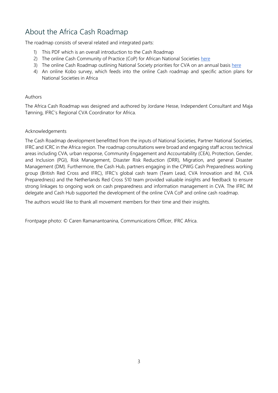# About the Africa Cash Roadmap

The roadmap consists of several related and integrated parts:

- 1) This PDF which is an overall introduction to the Cash Roadmap
- 2) The online Cash Community of Practice (CoP) for African National Societies [here](https://cash-hub.org/resources/africa-cash-community-of-practice/)
- 3) The online Cash Roadmap outlining National Society priorities for CVA on an annual basis [here](https://cash-hub.org/resources/africa-cash-community-of-practice/africa-cash-roadmap/)
- 4) An online Kobo survey, which feeds into the online Cash roadmap and specific action plans for National Societies in Africa

#### Authors

The Africa Cash Roadmap was designed and authored by Jordane Hesse, Independent Consultant and Maja Tønning, IFRC's Regional CVA Coordinator for Africa.

#### Acknowledgements

The Cash Roadmap development benefitted from the inputs of National Societies, Partner National Societies, IFRC and ICRC in the Africa region. The roadmap consultations were broad and engaging staff across technical areas including CVA, urban response, Community Engagement and Accountability (CEA), Protection, Gender, and Inclusion (PGI), Risk Management, Disaster Risk Reduction (DRR), Migration, and general Disaster Management (DM). Furthermore, the Cash Hub, partners engaging in the CPWG Cash Preparedness working group (British Red Cross and IFRC), IFRC's global cash team (Team Lead, CVA Innovation and IM, CVA Preparedness) and the Netherlands Red Cross 510 team provided valuable insights and feedback to ensure strong linkages to ongoing work on cash preparedness and information management in CVA. The IFRC IM delegate and Cash Hub supported the development of the online CVA CoP and online cash roadmap.

The authors would like to thank all movement members for their time and their insights.

Frontpage photo: © Caren Ramanantoanina, Communications Officer, IFRC Africa.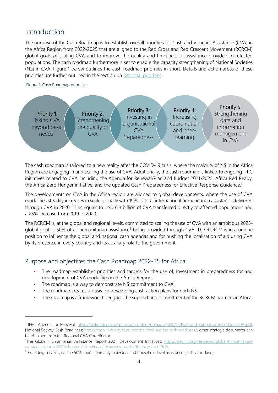## Introduction

The purpose of the Cash Roadmap is to establish overall priorities for Cash and Voucher Assistance (CVA) in the Africa Region from 2022-2025 that are aligned to the Red Cross and Red Crescent Movement (RCRCM) global goals of scaling CVA and to improve the quality and timeliness of assistance provided to affected populations. The cash roadmap furthermore is set to enable the capacity strengthening of National Societies (NS) in CVA. Figure 1 below outlines the cash roadmap priorities in short. Details and action areas of these priorities are further outlined in the section on Regional priorities.

#### Figure 1: Cash Roadmap priorities



The cash roadmap is tailored to a new reality after the COVID-19 crisis, where the majority of NS in the Africa Region are engaging in and scaling the use of CVA. Additionally, the cash roadmap is linked to ongoing IFRC initiatives related to CVA including the Agenda for Renewal/Plan and Budget 2021-2025, Africa Red Ready, the Africa Zero Hunger initiative, and the updated Cash Preparedness for Effective Response Guidance.<sup>1</sup>

The developments on CVA in the Africa region are aligned to global developments, where the use of CVA modalities steadily increases in scale globally with 19% of total international humanitarian assistance delivered through CVA in 2020.<sup>2</sup> This equals to USD 6.3 billion of CVA transferred directly to affected populations and a 25% increase from 2019 to 2020.

The RCRCM is, at the global and regional levels, committed to scaling the use of CVA with an ambitious 2025 global goal of 50% of all humanitarian assistance<sup>3</sup> being provided through CVA. The RCRCM is in a unique position to influence the global and national cash agendas and for pushing the localisation of aid using CVA by its presence in every country and its auxiliary role to the government.

## Purpose and objectives the Cash Roadmap 2022-25 for Africa

- The roadmap establishes priorities and targets for the use of, investment in preparedness for and development of CVA modalities in the Africa Region.
- The roadmap is a way to demonstrate NS commitment to CVA.
- The roadmap creates a basis for developing cash action plans for each NS.
- The roadmap is a framework to engage the support and commitment of the RCRCM partners in Africa.

<sup>1</sup> IFRC Agenda for Renewal: [https://oldmedia.ifrc.org/ifrc/wp-content/uploads/2020/12/Plan-and-Budget-promo-doc-FINAL.pdf,](https://oldmedia.ifrc.org/ifrc/wp-content/uploads/2020/12/Plan-and-Budget-promo-doc-FINAL.pdf)  National Society Cash Readiness: [https://cash-hub.org/resources/national-society-cash-readiness/,](https://cash-hub.org/resources/national-society-cash-readiness/) other strategic documents can be obtained from the Regional CVA Coordinator.

<sup>&</sup>lt;sup>2</sup>The Global Humanitarian Assistance Report 2021, Development Initiatives: [https://devinit.org/resources/global-humanitarian](https://devinit.org/resources/global-humanitarian-assistance-report-2021/chapter-4-funding-effectiveness-and-efficiency/#abe19c2c)[assistance-report-2021/chapter-4-funding-effectiveness-and-efficiency/#abe19c2c](https://devinit.org/resources/global-humanitarian-assistance-report-2021/chapter-4-funding-effectiveness-and-efficiency/#abe19c2c)

<sup>&</sup>lt;sup>3</sup> Excluding services, i.e. the 50% counts primarily individual and household level assistance (cash vs. in-kind).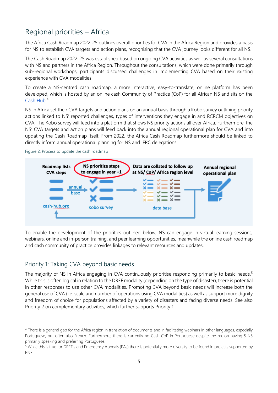## Regional priorities – Africa

The Africa Cash Roadmap 2022-25 outlines overall priorities for CVA in the Africa Region and provides a basis for NS to establish CVA targets and action plans, recognising that the CVA journey looks different for all NS.

The Cash Roadmap 2022-25 was established based on ongoing CVA activities as well as several consultations with NS and partners in the Africa Region. Throughout the consultations, which were done primarily through sub-regional workshops, participants discussed challenges in implementing CVA based on their existing experience with CVA modalities.

To create a NS-centred cash roadmap, a more interactive, easy-to-translate, online platform has been developed, which is hosted by an online cash Community of Practice (CoP) for all African NS and sits on the [Cash Hub.](https://cash-hub.org/resources/africa-cash-community-of-practice/) 4

NS in Africa set their CVA targets and action plans on an annual basis through a Kobo survey outlining priority actions linked to NS' reported challenges, types of interventions they engage in and RCRCM objectives on CVA. The Kobo survey will feed into a platform that shows NS priority actions all over Africa. Furthermore, the NS' CVA targets and action plans will feed back into the annual regional operational plan for CVA and into updating the Cash Roadmap itself. From 2022, the Africa Cash Roadmap furthermore should be linked to directly inform annual operational planning for NS and IFRC delegations.





To enable the development of the priorities outlined below, NS can engage in virtual learning sessions, webinars, online and in-person training, and peer learning opportunities, meanwhile the online cash roadmap and cash community of practice provides linkages to relevant resources and updates.

## Priority 1: Taking CVA beyond basic needs

The majority of NS in Africa engaging in CVA continuously prioritise responding primarily to basic needs.<sup>5</sup> While this is often logical in relation to the DREF modality (depending on the type of disaster), there is potential in other responses to use other CVA modalities. Promoting CVA beyond basic needs will increase both the general use of CVA (i.e. scale and number of operations using CVA modalities) as well as support more dignity and freedom of choice for populations affected by a variety of disasters and facing diverse needs. See also Priority 2 on complementary activities, which further supports Priority 1.

<sup>4</sup> There is a general gap for the Africa region in translation of documents and in facilitating webinars in other languages, especially Portuguese, but often also French. Furthermore, there is currently no Cash CoP in Portuguese despite the region having 5 NS primarily speaking and preferring Portuguese.

<sup>&</sup>lt;sup>5</sup> While this is true for DREF's and Emergency Appeals (EAs) there is potentially more diversity to be found in projects supported by PNS.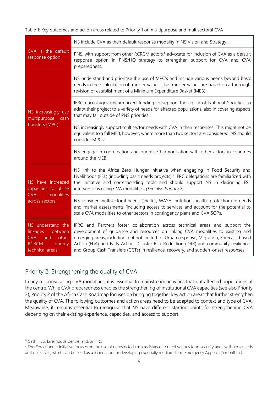Table 1: Key outcomes and action areas related to Priority 1 on multipurpose and multisectoral CVA

| CVA is the default<br>response option                                                                                 | NS include CVA as their default response modality in NS Vision and Strategy.                                                                                                                                                                                                                                                                                                                                                                   |
|-----------------------------------------------------------------------------------------------------------------------|------------------------------------------------------------------------------------------------------------------------------------------------------------------------------------------------------------------------------------------------------------------------------------------------------------------------------------------------------------------------------------------------------------------------------------------------|
|                                                                                                                       | PNS, with support from other RCRCM actors, <sup>6</sup> advocate for inclusion of CVA as a default<br>response option in PNS/HQ strategy to strengthen support for CVA and CVA<br>preparedness.                                                                                                                                                                                                                                                |
| NS increasingly use<br>multipurpose<br>cash<br>transfers (MPC)                                                        | NS understand and prioritise the use of MPC's and include various needs beyond basic<br>needs in their calculation of transfer values. The transfer values are based on a thorough<br>revision or establishment of a Minimum Expenditure Basket (MEB).                                                                                                                                                                                         |
|                                                                                                                       | IFRC encourages unearmarked funding to support the agility of National Societies to<br>adapt their project to a variety of needs for affected populations, also in covering aspects<br>that may fall outside of PNS priorities.                                                                                                                                                                                                                |
|                                                                                                                       | NS increasingly support multisector needs with CVA in their responses. This might not be<br>equivalent to a full MEB, however, where more than two sectors are considered, NS should<br>consider MPCs.                                                                                                                                                                                                                                         |
|                                                                                                                       | NS engage in coordination and prioritise harmonisation with other actors in countries<br>around the MEB.                                                                                                                                                                                                                                                                                                                                       |
| NS have increased<br>capacities to utilise<br><b>CVA</b><br>modalities<br>across sectors                              | NS link to the Africa Zero Hunger initiative when engaging in Food Security and<br>Livelihoods (FSL) (including basic needs projects). <sup>7</sup> IFRC delegations are familiarized with<br>the initiative and corresponding tools and should support NS in designing FSL<br>interventions using CVA modalities. (See also Priority 2)                                                                                                       |
|                                                                                                                       | NS consider multisectoral needs (shelter, WASH, nutrition, health, protection) in needs<br>and market assessments (including access to services and account for the potential to<br>scale CVA modalities to other sectors in contingency plans and CVA SOPs.                                                                                                                                                                                   |
| NS understand the<br>linkages<br>between<br><b>CVA</b><br>other<br>and<br><b>RCRCM</b><br>priority<br>technical areas | IFRC and Partners foster collaboration across technical areas and support the<br>development of quidance and resources on linking CVA modalities to existing and<br>emerging areas, including, but not limited to: Urban response, Migration, Forecast-based<br>Action (FbA) and Early Action, Disaster Risk Reduction (DRR) and community resilience,<br>and Group Cash Transfers (GCTs) in resilience, recovery, and sudden-onset responses. |

### Priority 2: Strengthening the quality of CVA

In any response using CVA modalities, it is essential to mainstream activities that put affected populations at the centre. While CVA preparedness enables the strengthening of institutional CVA capacities (see also Priority 3), Priority 2 of the Africa Cash Roadmap focuses on bringing together key action areas that further strengthen the quality of CVA. The following outcomes and action areas need to be adapted to context and type of CVA. Meanwhile, it remains essential to recognise that NS have different starting points for strengthening CVA depending on their existing experience, capacities, and access to support.

<sup>6</sup> Cash Hub, Livelihoods Centre, and/or IFRC.

<sup>&</sup>lt;sup>7</sup> The Zero Hunger initiative focuses on the use of unrestricted cash assistance to meet various food security and livelihoods needs and objectives, which can be used as a foundation for developing especially medium-term Emergency Appeals (6 months+).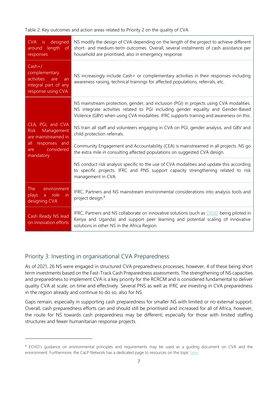Table 2: Key outcomes and action areas related to Priority 2 on the quality of CVA

| designed<br>CVA is<br>length of<br>around<br>responses                                                                          | NS modify the design of CVA depending on the length of the project to achieve different<br>short- and medium-term outcomes. Overall, several instalments of cash assistance per<br>household are prioritised, also in emergency response.                               |
|---------------------------------------------------------------------------------------------------------------------------------|-------------------------------------------------------------------------------------------------------------------------------------------------------------------------------------------------------------------------------------------------------------------------|
| $Cash+/$<br>complementary<br>activities<br>are<br>an<br>integral part of any<br>response using CVA                              | NS increasingly include Cash+ or complementary activities in their responses including<br>awareness raising, technical trainings for affected populations, referrals, etc.                                                                                              |
| CEA, PGI, and CVA<br>Management<br><b>Risk</b><br>are mainstreamed in<br>all<br>responses and<br>considered<br>are<br>mandatory | NS mainstream protection, gender, and inclusion (PGI) in projects using CVA modalities.<br>NS integrate activities related to PGI including gender equality and Gender-Based<br>Violence (GBV) when using CVA modalities. IFRC supports training and awareness on this. |
|                                                                                                                                 | NS train all staff and volunteers engaging in CVA on PGI, gender analysis, and GBV and<br>child protection referrals.                                                                                                                                                   |
|                                                                                                                                 | Community Engagement and Accountability (CEA) is mainstreamed in all projects. NS go<br>the extra mile in consulting affected populations on suggested CVA design.                                                                                                      |
|                                                                                                                                 | NS conduct risk analysis specific to the use of CVA modalities and update this according<br>to specific projects. IFRC and PNS support capacity strengthening related to risk<br>management in CVA.                                                                     |
| environment<br><b>The</b><br>a role<br>plays<br>-in<br>designing CVA                                                            | IFRC, Partners and NS mainstream environmental considerations into analysis tools and<br>project design. <sup>8</sup>                                                                                                                                                   |
| Cash Ready NS lead<br>on innovation efforts                                                                                     | IFRC, Partners and NS collaborate on innovative solutions (such as DIGID being piloted in<br>Kenya and Uganda) and support peer learning and potential scaling of innovative<br>solutions in other NS in the Africa Region.                                             |

### Priority 3: Investing in organisational CVA Preparedness

As of 2021, 26 NS were engaged in structured CVA preparedness processes, however, 4 of these being short term investments based on the Fast-Track Cash Preparedness assessments. The strengthening of NS capacities and preparedness to implement CVA is a key priority for the RCRCM and is considered fundamental to deliver quality CVA at scale, on time and effectively. Several PNS as well as IFRC are investing in CVA preparedness in the region already and continue to do so, also for NS.

Gaps remain, especially in supporting cash preparedness for smaller NS with limited or no external support. Overall, cash preparedness efforts can and should still be prioritised and increased for all of Africa, however, the route for NS towards cash preparedness may be different; especially for those with limited staffing structures and fewer humanitarian response projects.

<sup>&</sup>lt;sup>8</sup> ECHO's guidance on environmental principles and requirements may be used as a quiding document on CVA and the environment. Furthermore, the CaLP Network has a dedicated page to resources on the topic [here.](https://www.calpnetwork.org/resources/collections/cva-environment-and-climate-change/)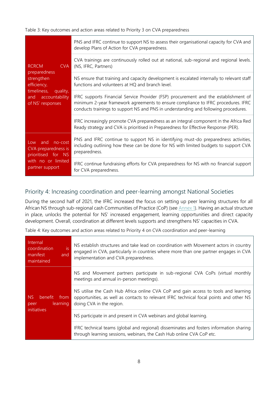Table 3: Key outcomes and action areas related to Priority 3 on CVA preparedness

| <b>RCRCM</b><br>CVA<br>preparedness<br>strengthen<br>efficiency,<br>timeliness,<br>quality,<br>accountability<br>and<br>of NS' responses | PNS and IFRC continue to support NS to assess their organisational capacity for CVA and<br>develop Plans of Action for CVA preparedness.                                                                                                                        |
|------------------------------------------------------------------------------------------------------------------------------------------|-----------------------------------------------------------------------------------------------------------------------------------------------------------------------------------------------------------------------------------------------------------------|
|                                                                                                                                          | CVA trainings are continuously rolled out at national, sub-regional and regional levels.<br>(NS, IFRC, Partners)                                                                                                                                                |
|                                                                                                                                          | NS ensure that training and capacity development is escalated internally to relevant staff<br>functions and volunteers at HQ and branch level.                                                                                                                  |
|                                                                                                                                          | IFRC supports Financial Service Provider (FSP) procurement and the establishment of<br>minimum 2-year framework agreements to ensure compliance to IFRC procedures. IFRC<br>conducts trainings to support NS and PNS in understanding and following procedures. |
|                                                                                                                                          | IFRC increasingly promote CVA preparedness as an integral component in the Africa Red<br>Ready strategy and CVA is prioritised in Preparedness for Effective Response (PER).                                                                                    |
| no-cost<br>and<br>Low<br>CVA preparedness is<br>prioritised for NS<br>with no or limited<br>partner support                              | PNS and IFRC continue to support NS in identifying must-do preparedness activities,<br>including outlining how these can be done for NS with limited budgets to support CVA<br>preparedness.                                                                    |
|                                                                                                                                          | IFRC continue fundraising efforts for CVA preparedness for NS with no financial support<br>for CVA preparedness.                                                                                                                                                |

### Priority 4: Increasing coordination and peer-learning amongst National Societies

During the second half of 2021, the IFRC increased the focus on setting up peer learning structures for all African NS through sub-regional cash Communities of Practice (CoP) (see Annex 1). Having an actual structure in place, unlocks the potential for NS' increased engagement, learning opportunities and direct capacity development. Overall, coordination at different levels supports and strengthens NS' capacities in CVA.

Table 4: Key outcomes and action areas related to Priority 4 on CVA coordination and peer-learning

| Internal<br>is<br>coordination<br>manifest<br>and<br>maintained       | NS establish structures and take lead on coordination with Movement actors in country<br>engaged in CVA, particularly in countries where more than one partner engages in CVA<br>implementation and CVA preparedness. |
|-----------------------------------------------------------------------|-----------------------------------------------------------------------------------------------------------------------------------------------------------------------------------------------------------------------|
| NS <sub>1</sub><br>benefit<br>from<br>learning<br>peer<br>initiatives | NS and Movement partners participate in sub-regional CVA CoPs (virtual monthly<br>meetings and annual in-person meetings).                                                                                            |
|                                                                       | NS utilise the Cash Hub Africa online CVA CoP and gain access to tools and learning<br>opportunities, as well as contacts to relevant IFRC technical focal points and other NS<br>doing CVA in the region.            |
|                                                                       | NS participate in and present in CVA webinars and global learning.                                                                                                                                                    |
|                                                                       | IFRC technical teams (global and regional) disseminates and fosters information sharing<br>through learning sessions, webinars, the Cash Hub online CVA CoP etc.                                                      |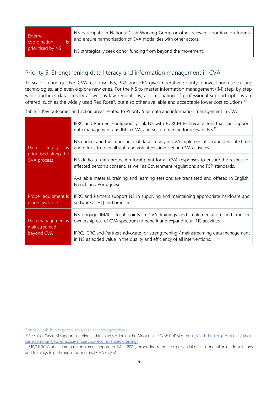External coordination is prioritised by NS

NS participate in National Cash Working Group or other relevant coordination forums and ensure harmonisation of CVA modalities with other actors.

NS strategically seek donor funding from beyond the movement.

#### Priority 5: Strengthening data literacy and information management in CVA

To scale up and quicken CVA response, NS, PNS and IFRC give imperative priority to invest and use existing technologies, and even explore new ones. For the NS to master information management (IM) step-by-step, which includes data literacy as well as law regulations, a combination of professional support options are offered, such as the widely used Red Rose<sup>9</sup>, but also other available and acceptable lower cost solutions.<sup>10</sup>

Table 5: Key outcomes and action areas related to Priority 5 on data and information management in CVA

| literacy<br>Data<br>is.<br>prioritised along the<br><b>CVA process</b> | IFRC and Partners continuously link NS with RCRCM technical actors that can support<br>data management and IM in CVA, and set-up training for relevant NS. <sup>11</sup>  |
|------------------------------------------------------------------------|---------------------------------------------------------------------------------------------------------------------------------------------------------------------------|
|                                                                        | NS understand the importance of data literacy in CVA implementation and dedicate time<br>and efforts to train all staff and volunteers involved in CVA activities         |
|                                                                        | NS dedicate data protection focal point for all CVA responses to ensure the respect of<br>affected person's consent, as well as Government regulations and FSP standards. |
|                                                                        | Available material, training and learning sessions are translated and offered in English,<br>French and Portuguese.                                                       |
| Proper equipment is<br>made available                                  | IFRC and Partners support NS in supplying and maintaining appropriate hardware and<br>software at HQ and branches.                                                        |
| Data management is<br>mainstreamed<br>beyond CVA                       | NS engage IM/ICT focal points in CVA trainings and implementation, and transfer<br>ownership out of CVA spectrum to benefit and expand to all NS activities               |
|                                                                        | IFRC, ICRC and Partners advocate for strengthening / mainstreaming data management<br>in NS as added value in the quality and efficiency of all interventions.            |

<sup>9</sup> <https://cash-hub.org/resources/cash-technology/redrose/>

<sup>10</sup> See also, Cash-IM support, learning and training section on the Africa online Cash CoP site: [https://cash-hub.org/resources/africa](https://cash-hub.org/resources/africa-cash-community-of-practice/africa-cop-recommended-training/)[cash-community-of-practice/africa-cop-recommended-training/](https://cash-hub.org/resources/africa-cash-community-of-practice/africa-cop-recommended-training/)

<sup>11</sup> 510/NLRC Global team has confirmed support for IM in 2022, proposing remote or presential one-to-one tailor-made solutions and trainings (e.g. through sub-regional CVA CoP's).